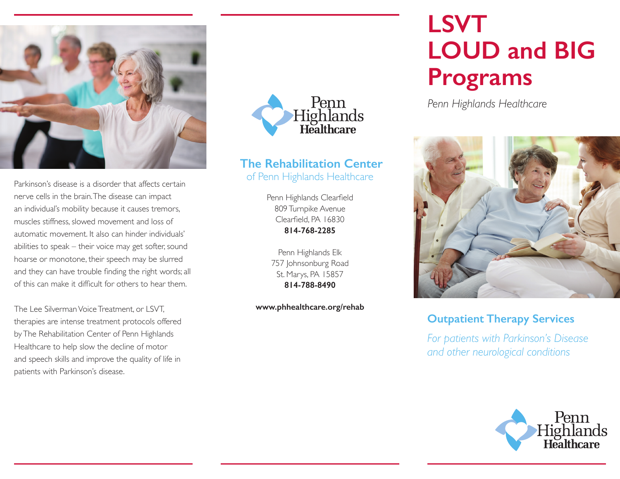

Parkinson's disease is a disorder that affects certain nerve cells in the brain. The disease can impact an individual's mobility because it causes tremors, muscles stiffness, slowed movement and loss of automatic movement. It also can hinder individuals' abilities to speak – their voice may get softer, sound hoarse or monotone, their speech may be slurred and they can have trouble finding the right words; all of this can make it difficult for others to hear them.

The Lee Silverman Voice Treatment, or LSVT, therapies are intense treatment protocols offered by The Rehabilitation Center of Penn Highlands Healthcare to help slow the decline of motor and speech skills and improve the quality of life in patients with Parkinson's disease.



### **The Rehabilitation Center**  of Penn Highlands Healthcare

Penn Highlands Clearfield 809 Turnpike Avenue Clearfield, PA 16830 **814-768-2285**

Penn Highlands Elk 757 Johnsonburg Road St. Marys, PA 15857 **814-788-8490**

**www.phhealthcare.org/rehab**

# **LSVT LOUD and BIG Programs**

*Penn Highlands Healthcare*



### **Outpatient Therapy Services**

*For patients with Parkinson's Disease and other neurological conditions*